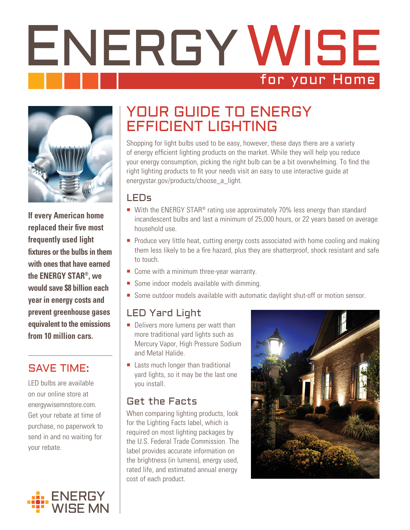# ENERGY WISE for your Home



**If every American home replaced their five most frequently used light fixtures or the bulbs in them with ones that have earned the ENERGY STAR®, we would save \$8 billion each year in energy costs and prevent greenhouse gases equivalent to the emissions from 10 million cars.**

## SAVE TIME:

LED bulbs are available on our online store at energywisemnstore.com. Get your rebate at time of purchase, no paperwork to send in and no waiting for your rebate.



# YOUR GUIDE TO ENERGY EFFICIENT LIGHTING

Shopping for light bulbs used to be easy, however, these days there are a variety of energy efficient lighting products on the market. While they will help you reduce your energy consumption, picking the right bulb can be a bit overwhelming. To find the right lighting products to fit your needs visit an easy to use interactive guide at energystar.gov/products/choose\_a\_light.

#### LEDs

- With the ENERGY STAR<sup>®</sup> rating use approximately 70% less energy than standard incandescent bulbs and last a minimum of 25,000 hours, or 22 years based on average household use.
- **Produce very little heat, cutting energy costs associated with home cooling and making** them less likely to be a fire hazard, plus they are shatterproof, shock resistant and safe to touch.
- Come with a minimum three-year warranty.
- Some indoor models available with dimming.
- Some outdoor models available with automatic daylight shut-off or motion sensor.

## LED Yard Light

- Delivers more lumens per watt than more traditional yard lights such as Mercury Vapor, High Pressure Sodium and Metal Halide.
- Lasts much longer than traditional yard lights, so it may be the last one you install.

### Get the Facts

When comparing lighting products, look for the Lighting Facts label, which is required on most lighting packages by the U.S. Federal Trade Commission. The label provides accurate information on the brightness (in lumens), energy used, rated life, and estimated annual energy cost of each product.